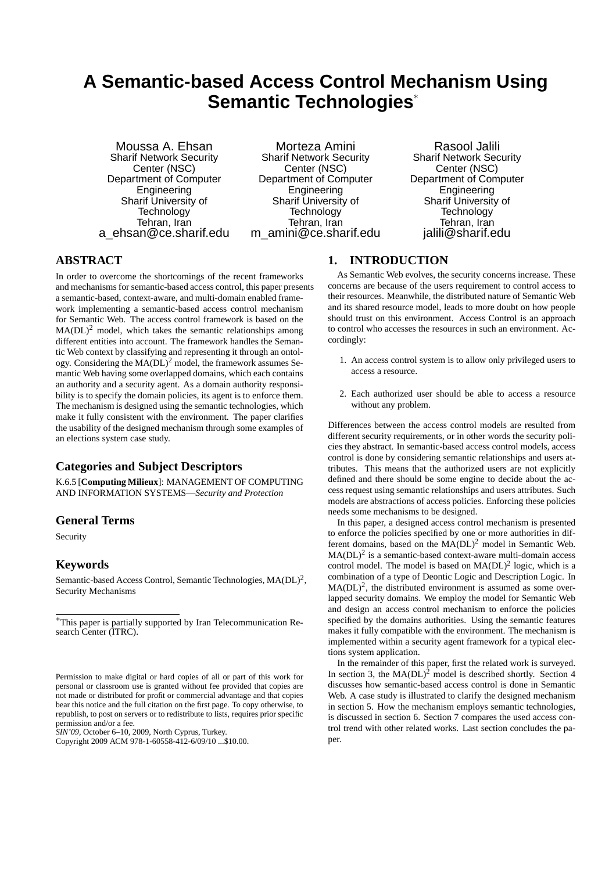# **A Semantic-based Access Control Mechanism Using Semantic Technologies**<sup>∗</sup>

Moussa A. Ehsan Sharif Network Security Center (NSC) Department of Computer **Engineering** Sharif University of **Technology** Tehran, Iran a\_ehsan@ce.sharif.edu

Morteza Amini Sharif Network Security Center (NSC) Department of Computer **Engineering** Sharif University of **Technology** Tehran, Iran m\_amini@ce.sharif.edu

Rasool Jalili Sharif Network Security Center (NSC) Department of Computer Engineering Sharif University of **Technology** Tehran, Iran jalili@sharif.edu

# **ABSTRACT**

In order to overcome the shortcomings of the recent frameworks and mechanisms for semantic-based access control, this paper presents a semantic-based, context-aware, and multi-domain enabled framework implementing a semantic-based access control mechanism for Semantic Web. The access control framework is based on the  $MA(DL)<sup>2</sup>$  model, which takes the semantic relationships among different entities into account. The framework handles the Semantic Web context by classifying and representing it through an ontology. Considering the  $MA(DL)^2$  model, the framework assumes Semantic Web having some overlapped domains, which each contains an authority and a security agent. As a domain authority responsibility is to specify the domain policies, its agent is to enforce them. The mechanism is designed using the semantic technologies, which make it fully consistent with the environment. The paper clarifies the usability of the designed mechanism through some examples of an elections system case study.

## **Categories and Subject Descriptors**

K.6.5 [**Computing Milieux**]: MANAGEMENT OF COMPUTING AND INFORMATION SYSTEMS—*Security and Protection*

# **General Terms**

Security

# **Keywords**

Semantic-based Access Control, Semantic Technologies,  $MA(DL)^2$ , Security Mechanisms

*SIN'09,* October 6–10, 2009, North Cyprus, Turkey.

## **1. INTRODUCTION**

As Semantic Web evolves, the security concerns increase. These concerns are because of the users requirement to control access to their resources. Meanwhile, the distributed nature of Semantic Web and its shared resource model, leads to more doubt on how people should trust on this environment. Access Control is an approach to control who accesses the resources in such an environment. Accordingly:

- 1. An access control system is to allow only privileged users to access a resource.
- 2. Each authorized user should be able to access a resource without any problem.

Differences between the access control models are resulted from different security requirements, or in other words the security policies they abstract. In semantic-based access control models, access control is done by considering semantic relationships and users attributes. This means that the authorized users are not explicitly defined and there should be some engine to decide about the access request using semantic relationships and users attributes. Such models are abstractions of access policies. Enforcing these policies needs some mechanisms to be designed.

In this paper, a designed access control mechanism is presented to enforce the policies specified by one or more authorities in different domains, based on the  $MA(DL)^2$  model in Semantic Web.  $MA(DL)<sup>2</sup>$  is a semantic-based context-aware multi-domain access control model. The model is based on  $MA(DL)^2$  logic, which is a combination of a type of Deontic Logic and Description Logic. In  $MA(DL)<sup>2</sup>$ , the distributed environment is assumed as some overlapped security domains. We employ the model for Semantic Web and design an access control mechanism to enforce the policies specified by the domains authorities. Using the semantic features makes it fully compatible with the environment. The mechanism is implemented within a security agent framework for a typical elections system application.

In the remainder of this paper, first the related work is surveyed. In section 3, the  $MA(DL)^2$  model is described shortly. Section 4 discusses how semantic-based access control is done in Semantic Web. A case study is illustrated to clarify the designed mechanism in section 5. How the mechanism employs semantic technologies, is discussed in section 6. Section 7 compares the used access control trend with other related works. Last section concludes the paper.

<sup>∗</sup>This paper is partially supported by Iran Telecommunication Research Center (ITRC).

Permission to make digital or hard copies of all or part of this work for personal or classroom use is granted without fee provided that copies are not made or distributed for profit or commercial advantage and that copies bear this notice and the full citation on the first page. To copy otherwise, to republish, to post on servers or to redistribute to lists, requires prior specific permission and/or a fee.

Copyright 2009 ACM 978-1-60558-412-6/09/10 ...\$10.00.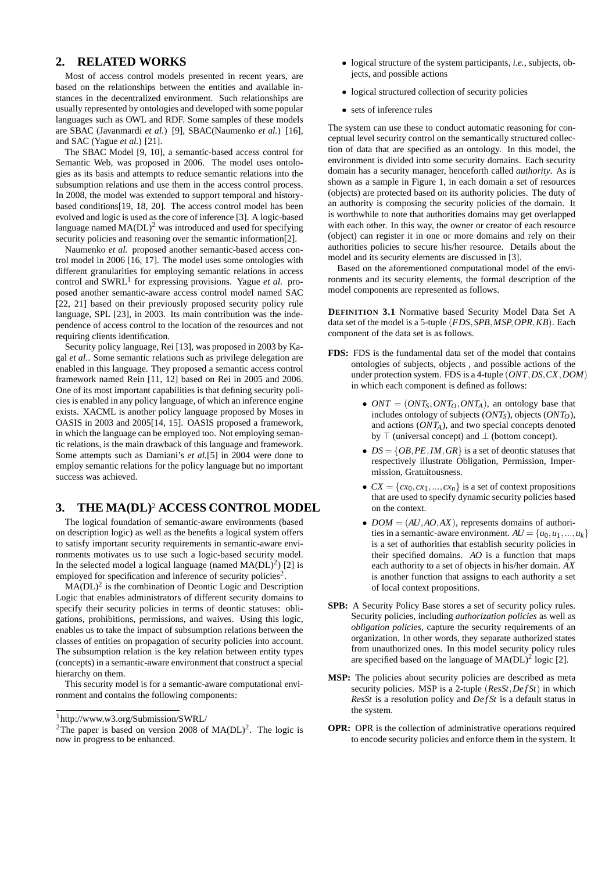# **2. RELATED WORKS**

Most of access control models presented in recent years, are based on the relationships between the entities and available instances in the decentralized environment. Such relationships are usually represented by ontologies and developed with some popular languages such as OWL and RDF. Some samples of these models are SBAC (Javanmardi *et al.*) [9], SBAC(Naumenko *et al.*) [16], and SAC (Yague *et al.*) [21].

The SBAC Model [9, 10], a semantic-based access control for Semantic Web, was proposed in 2006. The model uses ontologies as its basis and attempts to reduce semantic relations into the subsumption relations and use them in the access control process. In 2008, the model was extended to support temporal and historybased conditions[19, 18, 20]. The access control model has been evolved and logic is used as the core of inference [3]. A logic-based language named  $MA(DL)^2$  was introduced and used for specifying security policies and reasoning over the semantic information[2].

Naumenko *et al.* proposed another semantic-based access control model in 2006 [16, 17]. The model uses some ontologies with different granularities for employing semantic relations in access control and SWRL<sup>1</sup> for expressing provisions. Yague et al. proposed another semantic-aware access control model named SAC [22, 21] based on their previously proposed security policy rule language, SPL [23], in 2003. Its main contribution was the independence of access control to the location of the resources and not requiring clients identification.

Security policy language, Rei [13], was proposed in 2003 by Kagal *et al.*. Some semantic relations such as privilege delegation are enabled in this language. They proposed a semantic access control framework named Rein [11, 12] based on Rei in 2005 and 2006. One of its most important capabilities is that defining security policies is enabled in any policy language, of which an inference engine exists. XACML is another policy language proposed by Moses in OASIS in 2003 and 2005[14, 15]. OASIS proposed a framework, in which the language can be employed too. Not employing semantic relations, is the main drawback of this language and framework. Some attempts such as Damiani's *et al.*[5] in 2004 were done to employ semantic relations for the policy language but no important success was achieved.

# **3. THE MA(DL)**<sup>2</sup> **ACCESS CONTROL MODEL**

The logical foundation of semantic-aware environments (based on description logic) as well as the benefits a logical system offers to satisfy important security requirements in semantic-aware environments motivates us to use such a logic-based security model. In the selected model a logical language (named  $MA(DL)^2$ ) [2] is employed for specification and inference of security policies<sup>2</sup>.

 $MA(DL)<sup>2</sup>$  is the combination of Deontic Logic and Description Logic that enables administrators of different security domains to specify their security policies in terms of deontic statuses: obligations, prohibitions, permissions, and waives. Using this logic, enables us to take the impact of subsumption relations between the classes of entities on propagation of security policies into account. The subsumption relation is the key relation between entity types (concepts) in a semantic-aware environment that construct a special hierarchy on them.

This security model is for a semantic-aware computational environment and contains the following components:

- logical structure of the system participants, *i.e.*, subjects, objects, and possible actions
- logical structured collection of security policies
- sets of inference rules

The system can use these to conduct automatic reasoning for conceptual level security control on the semantically structured collection of data that are specified as an ontology. In this model, the environment is divided into some security domains. Each security domain has a security manager, henceforth called *authority*. As is shown as a sample in Figure 1, in each domain a set of resources (objects) are protected based on its authority policies. The duty of an authority is composing the security policies of the domain. It is worthwhile to note that authorities domains may get overlapped with each other. In this way, the owner or creator of each resource (object) can register it in one or more domains and rely on their authorities policies to secure his/her resource. Details about the model and its security elements are discussed in [3].

Based on the aforementioned computational model of the environments and its security elements, the formal description of the model components are represented as follows.

**DEFINITION 3.1** Normative based Security Model Data Set A data set of the model is a 5-tuple (*FDS*,*SPB*,*MSP*,*OPR*,*KB*). Each component of the data set is as follows.

- **FDS:** FDS is the fundamental data set of the model that contains ontologies of subjects, objects , and possible actions of the under protection system. FDS is a 4-tuple (*ONT*,*DS*,*CX*,*DOM*) in which each component is defined as follows:
	- *ONT* =  $(ONT<sub>S</sub>, ONT<sub>O</sub>, ONT<sub>A</sub>)$ , an ontology base that includes ontology of subjects (*ONTS*), objects (*ONTO*), and actions (*ONTA*), and two special concepts denoted by ⊤ (universal concept) and ⊥ (bottom concept).
	- $DS = \{OB, PE, IM, GR\}$  is a set of deontic statuses that respectively illustrate Obligation, Permission, Impermission, Gratuitousness.
	- $CX = \{cx_0, cx_1, ..., cx_n\}$  is a set of context propositions that are used to specify dynamic security policies based on the context.
	- $DOM = (AU, AO, AX)$ , represents domains of authorities in a semantic-aware environment.  $AU = \{u_0, u_1, ..., u_k\}$ is a set of authorities that establish security policies in their specified domains. *AO* is a function that maps each authority to a set of objects in his/her domain. *AX* is another function that assigns to each authority a set of local context propositions.
- **SPB:** A Security Policy Base stores a set of security policy rules. Security policies, including *authorization policies* as well as *obligation policies*, capture the security requirements of an organization. In other words, they separate authorized states from unauthorized ones. In this model security policy rules are specified based on the language of  $MA(DL)^2$  logic [2].
- **MSP:** The policies about security policies are described as meta security policies. MSP is a 2-tuple (*ResSt, Def St*) in which *ResSt* is a resolution policy and *De f St* is a default status in the system.
- **OPR:** OPR is the collection of administrative operations required to encode security policies and enforce them in the system. It

<sup>1</sup>http://www.w3.org/Submission/SWRL/

<sup>&</sup>lt;sup>2</sup>The paper is based on version 2008 of  $MA(DL)^2$ . The logic is now in progress to be enhanced.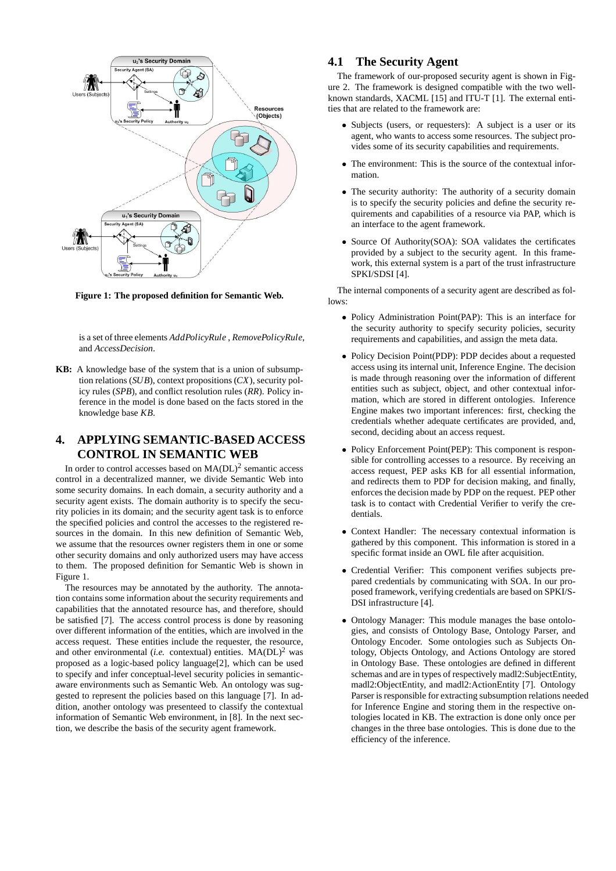

**Figure 1: The proposed definition for Semantic Web.**

is a set of three elements *AddPolicyRule* , *RemovePolicyRule*, and *AccessDecision*.

**KB:** A knowledge base of the system that is a union of subsumption relations (*SUB*), context propositions (*CX*), security policy rules (*SPB*), and conflict resolution rules (*RR*). Policy inference in the model is done based on the facts stored in the knowledge base *KB*.

# **4. APPLYING SEMANTIC-BASED ACCESS CONTROL IN SEMANTIC WEB**

In order to control accesses based on  $MA(DL)^2$  semantic access control in a decentralized manner, we divide Semantic Web into some security domains. In each domain, a security authority and a security agent exists. The domain authority is to specify the security policies in its domain; and the security agent task is to enforce the specified policies and control the accesses to the registered resources in the domain. In this new definition of Semantic Web, we assume that the resources owner registers them in one or some other security domains and only authorized users may have access to them. The proposed definition for Semantic Web is shown in Figure 1.

The resources may be annotated by the authority. The annotation contains some information about the security requirements and capabilities that the annotated resource has, and therefore, should be satisfied [7]. The access control process is done by reasoning over different information of the entities, which are involved in the access request. These entities include the requester, the resource, and other environmental (*i.e.* contextual) entities.  $MA(DL)^2$  was proposed as a logic-based policy language[2], which can be used to specify and infer conceptual-level security policies in semanticaware environments such as Semantic Web. An ontology was suggested to represent the policies based on this language [7]. In addition, another ontology was presenteed to classify the contextual information of Semantic Web environment, in [8]. In the next section, we describe the basis of the security agent framework.

# **4.1 The Security Agent**

The framework of our-proposed security agent is shown in Figure 2. The framework is designed compatible with the two wellknown standards, XACML [15] and ITU-T [1]. The external entities that are related to the framework are:

- Subjects (users, or requesters): A subject is a user or its agent, who wants to access some resources. The subject provides some of its security capabilities and requirements.
- The environment: This is the source of the contextual information.
- The security authority: The authority of a security domain is to specify the security policies and define the security requirements and capabilities of a resource via PAP, which is an interface to the agent framework.
- Source Of Authority(SOA): SOA validates the certificates provided by a subject to the security agent. In this framework, this external system is a part of the trust infrastructure SPKI/SDSI [4].

The internal components of a security agent are described as follows:

- Policy Administration Point(PAP): This is an interface for the security authority to specify security policies, security requirements and capabilities, and assign the meta data.
- Policy Decision Point(PDP): PDP decides about a requested access using its internal unit, Inference Engine. The decision is made through reasoning over the information of different entities such as subject, object, and other contextual information, which are stored in different ontologies. Inference Engine makes two important inferences: first, checking the credentials whether adequate certificates are provided, and, second, deciding about an access request.
- Policy Enforcement Point(PEP): This component is responsible for controlling accesses to a resource. By receiving an access request, PEP asks KB for all essential information, and redirects them to PDP for decision making, and finally, enforces the decision made by PDP on the request. PEP other task is to contact with Credential Verifier to verify the credentials.
- Context Handler: The necessary contextual information is gathered by this component. This information is stored in a specific format inside an OWL file after acquisition.
- Credential Verifier: This component verifies subjects prepared credentials by communicating with SOA. In our proposed framework, verifying credentials are based on SPKI/S-DSI infrastructure [4].
- Ontology Manager: This module manages the base ontologies, and consists of Ontology Base, Ontology Parser, and Ontology Encoder. Some ontologies such as Subjects Ontology, Objects Ontology, and Actions Ontology are stored in Ontology Base. These ontologies are defined in different schemas and are in types of respectively madl2:SubjectEntity, madl2:ObjectEntity, and madl2:ActionEntity [7]. Ontology Parser is responsible for extracting subsumption relations needed for Inference Engine and storing them in the respective ontologies located in KB. The extraction is done only once per changes in the three base ontologies. This is done due to the efficiency of the inference.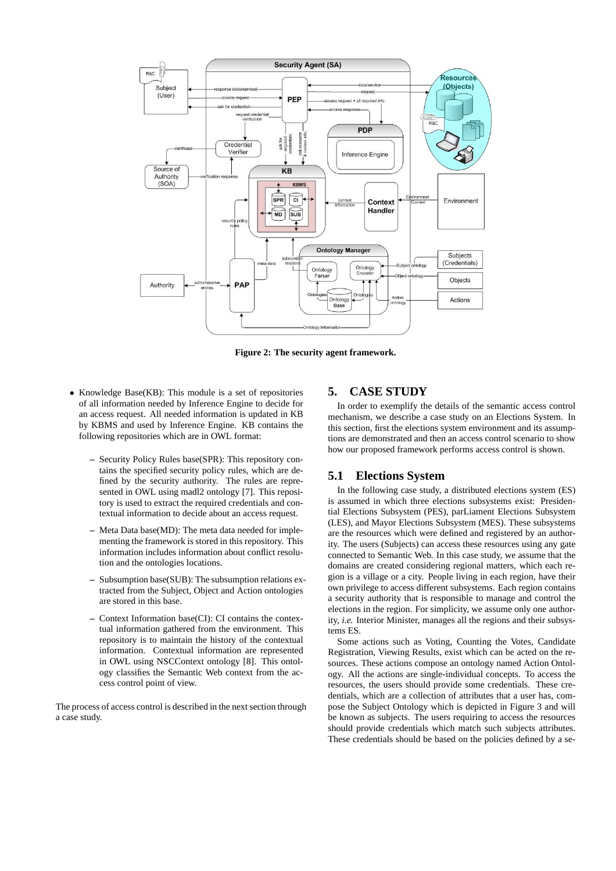

**Figure 2: The security agent framework.**

- Knowledge Base(KB): This module is a set of repositories of all information needed by Inference Engine to decide for an access request. All needed information is updated in KB by KBMS and used by Inference Engine. KB contains the following repositories which are in OWL format:
	- **–** Security Policy Rules base(SPR): This repository contains the specified security policy rules, which are defined by the security authority. The rules are represented in OWL using madl2 ontology [7]. This repository is used to extract the required credentials and contextual information to decide about an access request.
	- **–** Meta Data base(MD): The meta data needed for implementing the framework is stored in this repository. This information includes information about conflict resolution and the ontologies locations.
	- **–** Subsumption base(SUB): The subsumption relations extracted from the Subject, Object and Action ontologies are stored in this base.
	- **–** Context Information base(CI): CI contains the contextual information gathered from the environment. This repository is to maintain the history of the contextual information. Contextual information are represented in OWL using NSCContext ontology [8]. This ontology classifies the Semantic Web context from the access control point of view.

The process of access control is described in the next section through a case study.

## **5. CASE STUDY**

In order to exemplify the details of the semantic access control mechanism, we describe a case study on an Elections System. In this section, first the elections system environment and its assumptions are demonstrated and then an access control scenario to show how our proposed framework performs access control is shown.

#### **5.1 Elections System**

In the following case study, a distributed elections system (ES) is assumed in which three elections subsystems exist: Presidential Elections Subsystem (PES), parLiament Elections Subsystem (LES), and Mayor Elections Subsystem (MES). These subsystems are the resources which were defined and registered by an authority. The users (Subjects) can access these resources using any gate connected to Semantic Web. In this case study, we assume that the domains are created considering regional matters, which each region is a village or a city. People living in each region, have their own privilege to access different subsystems. Each region contains a security authority that is responsible to manage and control the elections in the region. For simplicity, we assume only one authority, *i.e.* Interior Minister, manages all the regions and their subsystems ES.

Some actions such as Voting, Counting the Votes, Candidate Registration, Viewing Results, exist which can be acted on the resources. These actions compose an ontology named Action Ontology. All the actions are single-individual concepts. To access the resources, the users should provide some credentials. These credentials, which are a collection of attributes that a user has, compose the Subject Ontology which is depicted in Figure 3 and will be known as subjects. The users requiring to access the resources should provide credentials which match such subjects attributes. These credentials should be based on the policies defined by a se-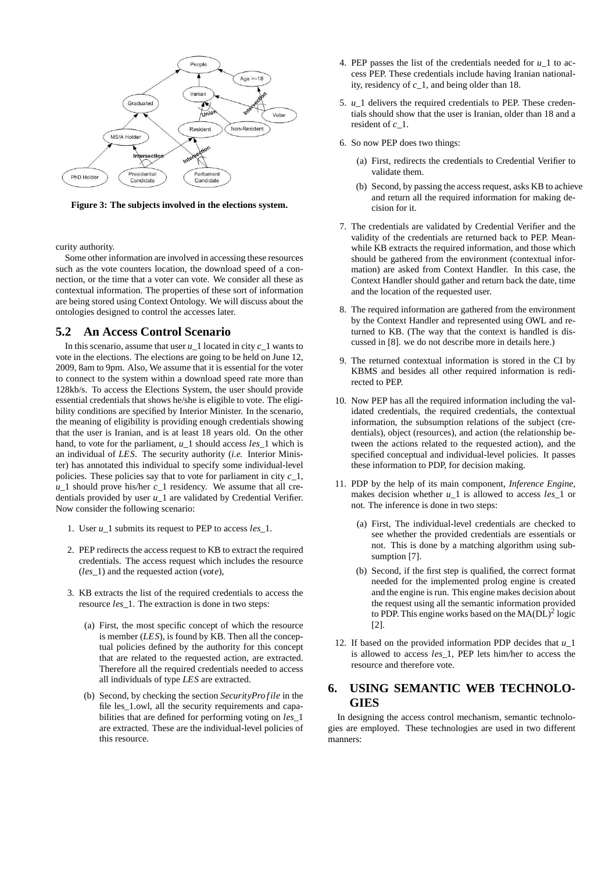

**Figure 3: The subjects involved in the elections system.**

curity authority.

Some other information are involved in accessing these resources such as the vote counters location, the download speed of a connection, or the time that a voter can vote. We consider all these as contextual information. The properties of these sort of information are being stored using Context Ontology. We will discuss about the ontologies designed to control the accesses later.

#### **5.2 An Access Control Scenario**

In this scenario, assume that user  $u$  1 located in city  $c$  1 wants to vote in the elections. The elections are going to be held on June 12, 2009, 8am to 9pm. Also, We assume that it is essential for the voter to connect to the system within a download speed rate more than 128kb/s. To access the Elections System, the user should provide essential credentials that shows he/she is eligible to vote. The eligibility conditions are specified by Interior Minister. In the scenario, the meaning of eligibility is providing enough credentials showing that the user is Iranian, and is at least 18 years old. On the other hand, to vote for the parliament, *u*\_1 should access *les*\_1 which is an individual of *LES*. The security authority (*i.e.* Interior Minister) has annotated this individual to specify some individual-level policies. These policies say that to vote for parliament in city *c*\_1, *u*\_1 should prove his/her *c*\_1 residency. We assume that all credentials provided by user *u*\_1 are validated by Credential Verifier. Now consider the following scenario:

- 1. User *u*\_1 submits its request to PEP to access *les*\_1.
- 2. PEP redirects the access request to KB to extract the required credentials. The access request which includes the resource (*les*\_1) and the requested action (*vote*),
- 3. KB extracts the list of the required credentials to access the resource *les*\_1. The extraction is done in two steps:
	- (a) First, the most specific concept of which the resource is member (*LES*), is found by KB. Then all the conceptual policies defined by the authority for this concept that are related to the requested action, are extracted. Therefore all the required credentials needed to access all individuals of type *LES* are extracted.
	- (b) Second, by checking the section *SecurityPro f ile* in the file les\_1.owl, all the security requirements and capabilities that are defined for performing voting on *les*\_1 are extracted. These are the individual-level policies of this resource.
- 4. PEP passes the list of the credentials needed for *u*\_1 to access PEP. These credentials include having Iranian nationality, residency of *c*\_1, and being older than 18.
- 5. *u*\_1 delivers the required credentials to PEP. These credentials should show that the user is Iranian, older than 18 and a resident of *c*\_1.
- 6. So now PEP does two things:
	- (a) First, redirects the credentials to Credential Verifier to validate them.
	- (b) Second, by passing the access request, asks KB to achieve and return all the required information for making decision for it.
- 7. The credentials are validated by Credential Verifier and the validity of the credentials are returned back to PEP. Meanwhile KB extracts the required information, and those which should be gathered from the environment (contextual information) are asked from Context Handler. In this case, the Context Handler should gather and return back the date, time and the location of the requested user.
- 8. The required information are gathered from the environment by the Context Handler and represented using OWL and returned to KB. (The way that the context is handled is discussed in [8]. we do not describe more in details here.)
- 9. The returned contextual information is stored in the CI by KBMS and besides all other required information is redirected to PEP.
- 10. Now PEP has all the required information including the validated credentials, the required credentials, the contextual information, the subsumption relations of the subject (credentials), object (resources), and action (the relationship between the actions related to the requested action), and the specified conceptual and individual-level policies. It passes these information to PDP, for decision making.
- 11. PDP by the help of its main component, *Inference Engine*, makes decision whether *u*\_1 is allowed to access *les*\_1 or not. The inference is done in two steps:
	- (a) First, The individual-level credentials are checked to see whether the provided credentials are essentials or not. This is done by a matching algorithm using subsumption [7].
	- (b) Second, if the first step is qualified, the correct format needed for the implemented prolog engine is created and the engine is run. This engine makes decision about the request using all the semantic information provided to PDP. This engine works based on the  $MA(DL)^2$  logic [2].
- 12. If based on the provided information PDP decides that *u*\_1 is allowed to access *les*\_1, PEP lets him/her to access the resource and therefore vote.

# **6. USING SEMANTIC WEB TECHNOLO-GIES**

In designing the access control mechanism, semantic technologies are employed. These technologies are used in two different manners: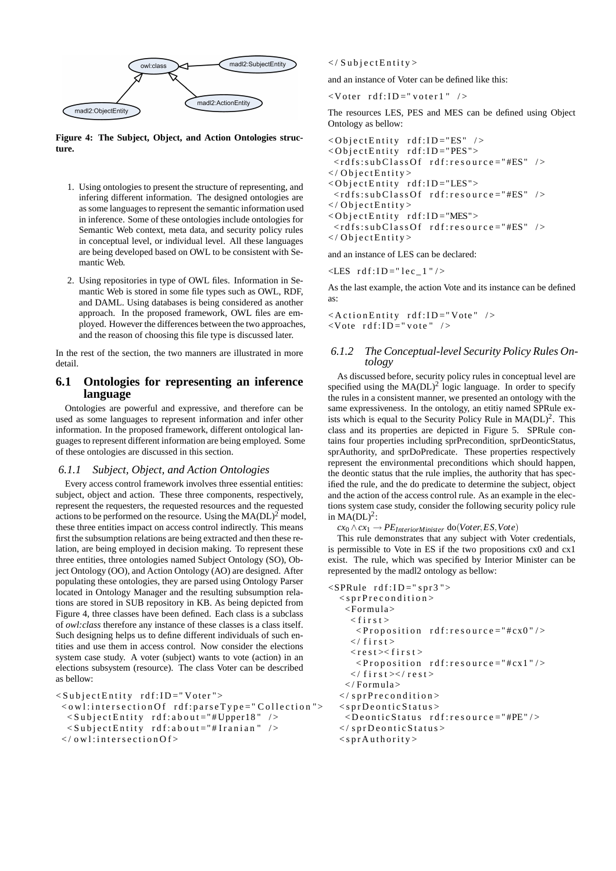

**Figure 4: The Subject, Object, and Action Ontologies structure.**

- 1. Using ontologies to present the structure of representing, and infering different information. The designed ontologies are as some languages to represent the semantic information used in inference. Some of these ontologies include ontologies for Semantic Web context, meta data, and security policy rules in conceptual level, or individual level. All these languages are being developed based on OWL to be consistent with Semantic Web.
- 2. Using repositories in type of OWL files. Information in Semantic Web is stored in some file types such as OWL, RDF, and DAML. Using databases is being considered as another approach. In the proposed framework, OWL files are employed. However the differences between the two approaches, and the reason of choosing this file type is discussed later.

In the rest of the section, the two manners are illustrated in more detail.

## **6.1 Ontologies for representing an inference language**

Ontologies are powerful and expressive, and therefore can be used as some languages to represent information and infer other information. In the proposed framework, different ontological languages to represent different information are being employed. Some of these ontologies are discussed in this section.

#### *6.1.1 Subject, Object, and Action Ontologies*

Every access control framework involves three essential entities: subject, object and action. These three components, respectively, represent the requesters, the requested resources and the requested actions to be performed on the resource. Using the  $MA(DL)^{2}$  model, these three entities impact on access control indirectly. This means first the subsumption relations are being extracted and then these relation, are being employed in decision making. To represent these three entities, three ontologies named Subject Ontology (SO), Object Ontology (OO), and Action Ontology (AO) are designed. After populating these ontologies, they are parsed using Ontology Parser located in Ontology Manager and the resulting subsumption relations are stored in SUB repository in KB. As being depicted from Figure 4, three classes have been defined. Each class is a subclass of *owl:class* therefore any instance of these classes is a class itself. Such designing helps us to define different individuals of such entities and use them in access control. Now consider the elections system case study. A voter (subject) wants to vote (action) in an elections subsystem (resource). The class Voter can be described as bellow:

```
<SubjectEntity rdf:ID="Voter">
 <owl:intersectionOf rdf:parseType="Collection">
  \langle Subject Entity rdf: about = "#Upper18" />
  \langle Subject Entity rdf: about = "# Iranian" />
 \langle / owl:intersection Of >
```
 $\langle$  Subject Entity>

and an instance of Voter can be defined like this:

 $\langle$ Voter rdf:ID = "voter1" />

The resources LES, PES and MES can be defined using Object Ontology as bellow:

```
< O b j e c t E ntity rd f: I D = "ES" />
< O b j e c t E ntity rd f: I D = "PES" >
 <rdfs:subClassOf rdf:resource="#ES" />
\langle / Object Entity>
< Object Entity rdf: ID = "LES">
 <rdfs:subClassOf rdf:resource="#ES" />
\langle Object Entity >
<ObjectEntity rdf:ID="MES">
 <rdfs:subClassOf rdf:resource="#ES" />
\langle / Object Entity>
```
and an instance of LES can be declared:

 $\leq$ LES  $rdf$ :ID = "lec 1"/>

As the last example, the action Vote and its instance can be defined as:

 $<$  A c tion Entity rdf: ID = "Vote" />  $\langle$ Vote rdf:ID = "vote" />

## *6.1.2 The Conceptual-level Security Policy Rules Ontology*

As discussed before, security policy rules in conceptual level are specified using the  $MA(DL)^2$  logic language. In order to specify the rules in a consistent manner, we presented an ontology with the same expressiveness. In the ontology, an etitiy named SPRule exists which is equal to the Security Policy Rule in MA(DL)<sup>2</sup>. This class and its properties are depicted in Figure 5. SPRule contains four properties including sprPrecondition, sprDeonticStatus, sprAuthority, and sprDoPredicate. These properties respectively represent the environmental preconditions which should happen, the deontic status that the rule implies, the authority that has specified the rule, and the do predicate to determine the subject, object and the action of the access control rule. As an example in the elections system case study, consider the following security policy rule in  $MA(DL)^2$ :

 $cx_0 \wedge cx_1 \rightarrow PE_{InteriorMinister}$  do(*Voter*,*ES*,*Vote*)

This rule demonstrates that any subject with Voter credentials, is permissible to Vote in ES if the two propositions cx0 and cx1 exist. The rule, which was specified by Interior Minister can be represented by the madl2 ontology as bellow:

```
<SPRule rdf:ID="spr3">
  <sprPrecondition<Formula>< first >\langleProposition rdf:resource="#cx0"/>
    \langle first >
    <rest>first>\langleProposition rdf:resource="#cx1"/>
     \langle first > \langle rest >
   \langle / Formula>
  \langle sprPrecondition>
  <s prDe o ntic Status >
   <DeonticStatus rdf:resource="#PE" />
  \langle sprDeontic Status>
  <sprAuthority>
```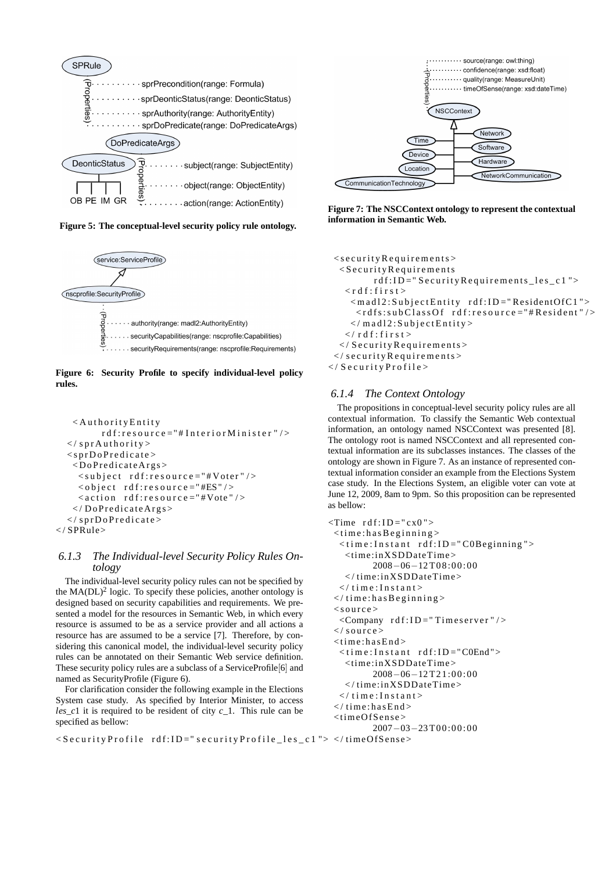

**Figure 5: The conceptual-level security policy rule ontology.**



**Figure 6: Security Profile to specify individual-level policy rules.**

```
< Authority Entity
          r df : re source = "#Interior Minister"\langle sprAuthority>
  <sprDoPredicate>
   <DoPredicateArgs>
     \langlesubject rdf:resource="#Voter"/>
     <object rdf:resource="#ES" />
     \langle action \rightharpoonup df:resource="#Vote"/>
   \langle DoP redicate Args>
  \langle/sprDoPredicate>
< / SPRule>
```
#### *6.1.3 The Individual-level Security Policy Rules Ontology*

The individual-level security policy rules can not be specified by the  $MA(DL)^2$  logic. To specify these policies, another ontology is designed based on security capabilities and requirements. We presented a model for the resources in Semantic Web, in which every resource is assumed to be as a service provider and all actions a resource has are assumed to be a service [7]. Therefore, by considering this canonical model, the individual-level security policy rules can be annotated on their Semantic Web service definition. These security policy rules are a subclass of a ServiceProfile[6] and named as SecurityProfile (Figure 6).

For clarification consider the following example in the Elections System case study. As specified by Interior Minister, to access *les*\_*c*1 it is required to be resident of city *c*\_1. This rule can be specified as bellow:



**Figure 7: The NSCContext ontology to represent the contextual information in Semantic Web.**

```
< security Requirements >
  < S e curity R equirements
          rdf: ID = " Security Requirements _les_c1">
   < rd f : f i r s t >\langlemadl2:SubjectEntity rdf:ID="ResidentOfC1">
      <rdfs:subClassOf rdf:resource="#Resident"/>
    \langle madl2: Subject Entity>
   \langle rdf:first>
  \langle / Security Requirements>
 \langle security Requirements>
\langle / Security Profile>
```
#### *6.1.4 The Context Ontology*

The propositions in conceptual-level security policy rules are all contextual information. To classify the Semantic Web contextual information, an ontology named NSCContext was presented [8]. The ontology root is named NSCContext and all represented contextual information are its subclasses instances. The classes of the ontology are shown in Figure 7. As an instance of represented contextual information consider an example from the Elections System case study. In the Elections System, an eligible voter can vote at June 12, 2009, 8am to 9pm. So this proposition can be represented as bellow:

```
< Security Profile rdf:ID="security Profile_les_c1"> </timeOfSense>
                                                             \langleTime rdf:ID = " cx0 " >
                                                              < time: has B e g inning >
                                                                <time: Instant rdf: ID = "C0Beginning">
                                                                 <time:inXSDDateTime >
                                                                       2008−06−12 T08:00:00
                                                                 </time:inXSDDateTime>
                                                                \langle time: Instant>
                                                              \langle time: has B e g inning >
                                                              \langle source \rangle<Company rdf: ID = "Timeserver" />
                                                              \langle source \rangle< time: has End>
                                                                < time: Instant rdf: ID = "C0End">
                                                                 <time:inXSDDateTime >
                                                                       2008−06−12 T21:00:00
                                                                 </time:inXSDDateTime>
                                                                \langle time: Instant>
                                                               \langle time: has End >
                                                              <timeOfSense>
                                                                       2007−03−23 T00:00:00
```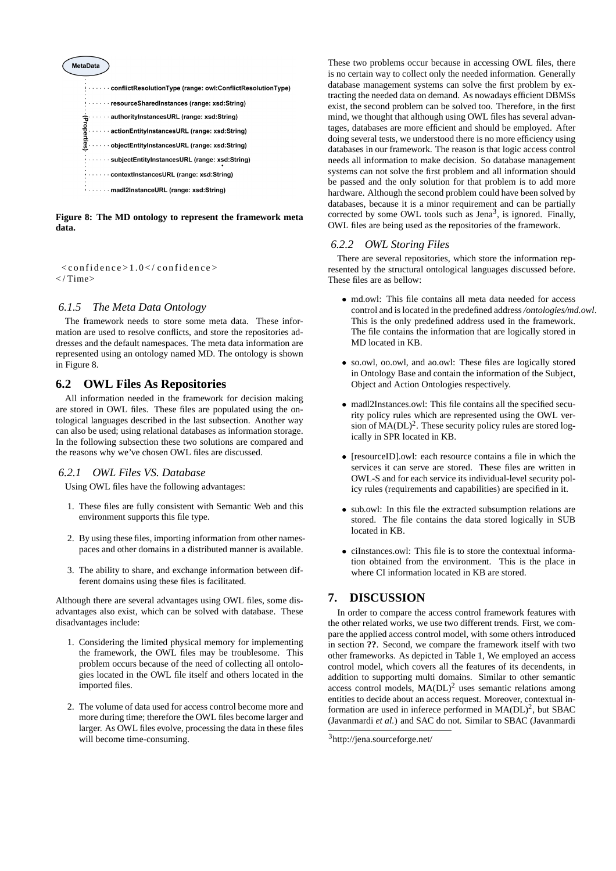#### **MetaData**

| conflictResolutionType (range: owl:ConflictResolutionType) |  |
|------------------------------------------------------------|--|
| resourceSharedInstances (range: xsd:String)                |  |
| 令······ authorityInstancesURL (range: xsd:String)          |  |
| पू actionEntityInstancesURL (range: xsd:String)            |  |
| 8. objectEntityInstancesURL (range: xsd:String)            |  |
| subjectEntityInstancesURL (range: xsd:String)              |  |
| contextInstancesURL (range: xsd:String)                    |  |
| madl2InstanceURL (range: xsd:String)                       |  |

**Figure 8: The MD ontology to represent the framework meta data.**

 $<$  confidence > 1.0 $<$ / confidence >  $\langle$  Time $>$ 

#### *6.1.5 The Meta Data Ontology*

The framework needs to store some meta data. These information are used to resolve conflicts, and store the repositories addresses and the default namespaces. The meta data information are represented using an ontology named MD. The ontology is shown in Figure 8.

# **6.2 OWL Files As Repositories**

All information needed in the framework for decision making are stored in OWL files. These files are populated using the ontological languages described in the last subsection. Another way can also be used; using relational databases as information storage. In the following subsection these two solutions are compared and the reasons why we've chosen OWL files are discussed.

#### *6.2.1 OWL Files VS. Database*

Using OWL files have the following advantages:

- 1. These files are fully consistent with Semantic Web and this environment supports this file type.
- 2. By using these files, importing information from other namespaces and other domains in a distributed manner is available.
- 3. The ability to share, and exchange information between different domains using these files is facilitated.

Although there are several advantages using OWL files, some disadvantages also exist, which can be solved with database. These disadvantages include:

- 1. Considering the limited physical memory for implementing the framework, the OWL files may be troublesome. This problem occurs because of the need of collecting all ontologies located in the OWL file itself and others located in the imported files.
- 2. The volume of data used for access control become more and more during time; therefore the OWL files become larger and larger. As OWL files evolve, processing the data in these files will become time-consuming.

These two problems occur because in accessing OWL files, there is no certain way to collect only the needed information. Generally database management systems can solve the first problem by extracting the needed data on demand. As nowadays efficient DBMSs exist, the second problem can be solved too. Therefore, in the first mind, we thought that although using OWL files has several advantages, databases are more efficient and should be employed. After doing several tests, we understood there is no more efficiency using databases in our framework. The reason is that logic access control needs all information to make decision. So database management systems can not solve the first problem and all information should be passed and the only solution for that problem is to add more hardware. Although the second problem could have been solved by databases, because it is a minor requirement and can be partially corrected by some OWL tools such as Jena<sup>3</sup>, is ignored. Finally, OWL files are being used as the repositories of the framework.

#### *6.2.2 OWL Storing Files*

There are several repositories, which store the information represented by the structural ontological languages discussed before. These files are as bellow:

- md.owl: This file contains all meta data needed for access control and is located in the predefined address*/ontologies/md.owl*. This is the only predefined address used in the framework. The file contains the information that are logically stored in MD located in KB.
- so.owl, oo.owl, and ao.owl: These files are logically stored in Ontology Base and contain the information of the Subject, Object and Action Ontologies respectively.
- madl2Instances.owl: This file contains all the specified security policy rules which are represented using the OWL version of  $MA(DL)^2$ . These security policy rules are stored logically in SPR located in KB.
- [resourceID].owl: each resource contains a file in which the services it can serve are stored. These files are written in OWL-S and for each service its individual-level security policy rules (requirements and capabilities) are specified in it.
- sub.owl: In this file the extracted subsumption relations are stored. The file contains the data stored logically in SUB located in KB.
- ciInstances.owl: This file is to store the contextual information obtained from the environment. This is the place in where CI information located in KB are stored.

## **7. DISCUSSION**

In order to compare the access control framework features with the other related works, we use two different trends. First, we compare the applied access control model, with some others introduced in section **??**. Second, we compare the framework itself with two other frameworks. As depicted in Table 1, We employed an access control model, which covers all the features of its decendents, in addition to supporting multi domains. Similar to other semantic access control models,  $MA(DL)^2$  uses semantic relations among entities to decide about an access request. Moreover, contextual information are used in inferece performed in  $MA(DL)<sup>2</sup>$ , but SBAC (Javanmardi *et al.*) and SAC do not. Similar to SBAC (Javanmardi

<sup>3</sup>http://jena.sourceforge.net/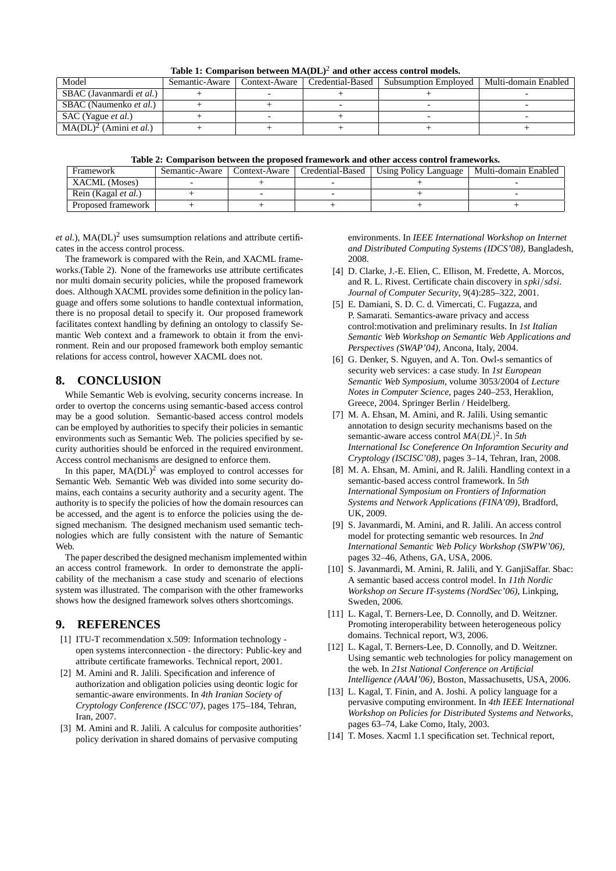|  | Table 1: Comparison between $MA(DL)^2$ and other access control models. |  |  |  |  |  |  |
|--|-------------------------------------------------------------------------|--|--|--|--|--|--|
|--|-------------------------------------------------------------------------|--|--|--|--|--|--|

| Model                             | Semantic-Aware | Context-Aware | Credential-Based | <b>Subsumption Employed</b> 1 | Multi-domain Enabled |  |
|-----------------------------------|----------------|---------------|------------------|-------------------------------|----------------------|--|
| SBAC (Javanmardi <i>et al.</i> )  |                |               |                  |                               |                      |  |
| SBAC (Naumenko <i>et al.</i> )    |                |               |                  |                               |                      |  |
| SAC (Yague <i>et al.</i> )        |                |               |                  |                               |                      |  |
| $MA(DL)^2$ (Amini <i>et al.</i> ) |                |               |                  |                               |                      |  |

**Table 2: Comparison between the proposed framework and other access control frameworks.**

| Framework                   | Semantic-Aware | Context-Aware | Credential-Based | Using Policy Language | Multi-domain Enabled |
|-----------------------------|----------------|---------------|------------------|-----------------------|----------------------|
| <b>XACML</b> (Moses)        |                |               |                  |                       |                      |
| Rein (Kagal <i>et al.</i> ) |                |               |                  |                       |                      |
| Proposed framework          |                |               |                  |                       |                      |

*et al.*),  $MA(DL)^2$  uses sumsumption relations and attribute certificates in the access control process.

The framework is compared with the Rein, and XACML frameworks.(Table 2). None of the frameworks use attribute certificates nor multi domain security policies, while the proposed framework does. Although XACML provides some definition in the policy language and offers some solutions to handle contextual information, there is no proposal detail to specify it. Our proposed framework facilitates context handling by defining an ontology to classify Semantic Web context and a framework to obtain it from the environment. Rein and our proposed framework both employ semantic relations for access control, however XACML does not.

# **8. CONCLUSION**

While Semantic Web is evolving, security concerns increase. In order to overtop the concerns using semantic-based access control may be a good solution. Semantic-based access control models can be employed by authorities to specify their policies in semantic environments such as Semantic Web. The policies specified by security authorities should be enforced in the required environment. Access control mechanisms are designed to enforce them.

In this paper,  $MA(DL)^2$  was employed to control accesses for Semantic Web. Semantic Web was divided into some security domains, each contains a security authority and a security agent. The authority is to specify the policies of how the domain resources can be accessed, and the agent is to enforce the policies using the designed mechanism. The designed mechanism used semantic technologies which are fully consistent with the nature of Semantic Web.

The paper described the designed mechanism implemented within an access control framework. In order to demonstrate the applicability of the mechanism a case study and scenario of elections system was illustrated. The comparison with the other frameworks shows how the designed framework solves others shortcomings.

#### **9. REFERENCES**

- [1] ITU-T recommendation x.509: Information technology open systems interconnection - the directory: Public-key and attribute certificate frameworks. Technical report, 2001.
- [2] M. Amini and R. Jalili. Specification and inference of authorization and obligation policies using deontic logic for semantic-aware environments. In *4th Iranian Society of Cryptology Conference (ISCC'07)*, pages 175–184, Tehran, Iran, 2007.
- [3] M. Amini and R. Jalili. A calculus for composite authorities' policy derivation in shared domains of pervasive computing

environments. In *IEEE International Workshop on Internet and Distributed Computing Systems (IDCS'08)*, Bangladesh, 2008.

- [4] D. Clarke, J.-E. Elien, C. Ellison, M. Fredette, A. Morcos, and R. L. Rivest. Certificate chain discovery in *spki*/*sdsi*. *Journal of Computer Security*, 9(4):285–322, 2001.
- [5] E. Damiani, S. D. C. d. Vimercati, C. Fugazza, and P. Samarati. Semantics-aware privacy and access control:motivation and preliminary results. In *1st Italian Semantic Web Workshop on Semantic Web Applications and Perspectives (SWAP'04)*, Ancona, Italy, 2004.
- [6] G. Denker, S. Nguyen, and A. Ton. Owl-s semantics of security web services: a case study. In *1st European Semantic Web Symposium*, volume 3053/2004 of *Lecture Notes in Computer Science*, pages 240–253, Heraklion, Greece, 2004. Springer Berlin / Heidelberg.
- [7] M. A. Ehsan, M. Amini, and R. Jalili. Using semantic annotation to design security mechanisms based on the semantic-aware access control *MA*(*DL*) 2 . In *5th International Isc Coneference On Inforamtion Security and Cryptology (ISCISC'08)*, pages 3–14, Tehran, Iran, 2008.
- [8] M. A. Ehsan, M. Amini, and R. Jalili. Handling context in a semantic-based access control framework. In *5th International Symposium on Frontiers of Information Systems and Network Applications (FINA'09)*, Bradford, UK, 2009.
- [9] S. Javanmardi, M. Amini, and R. Jalili. An access control model for protecting semantic web resources. In *2nd International Semantic Web Policy Workshop (SWPW'06)*, pages 32–46, Athens, GA, USA, 2006.
- [10] S. Javanmardi, M. Amini, R. Jalili, and Y. GanjiSaffar. Sbac: A semantic based access control model. In *11th Nordic Workshop on Secure IT-systems (NordSec'06)*, Linkping, Sweden, 2006.
- [11] L. Kagal, T. Berners-Lee, D. Connolly, and D. Weitzner. Promoting interoperability between heterogeneous policy domains. Technical report, W3, 2006.
- [12] L. Kagal, T. Berners-Lee, D. Connolly, and D. Weitzner. Using semantic web technologies for policy management on the web. In *21st National Conference on Artificial Intelligence (AAAI'06)*, Boston, Massachusetts, USA, 2006.
- [13] L. Kagal, T. Finin, and A. Joshi. A policy language for a pervasive computing environment. In *4th IEEE International Workshop on Policies for Distributed Systems and Networks*, pages 63–74, Lake Como, Italy, 2003.
- [14] T. Moses. Xacml 1.1 specification set. Technical report,